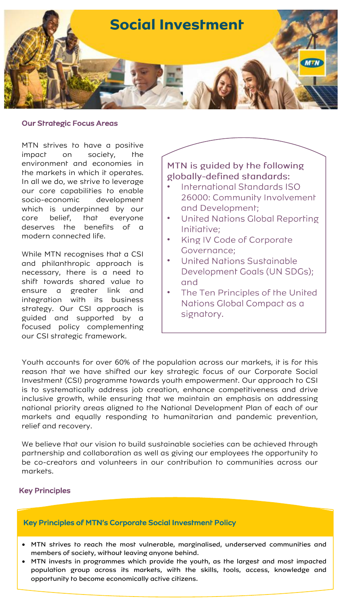

#### Our Strategic Focus Areas

MTN strives to have a positive impact on society, the environment and economies in the markets in which it operates. In all we do, we strive to leverage our core capabilities to enable socio-economic development which is underpinned by our core belief, that everyone deserves the benefits of a modern connected life.

While MTN recognises that a CSI and philanthropic approach is necessary, there is a need to shift towards shared value to ensure a greater link and integration with its business strategy. Our CSI approach is guided and supported by a focused policy complementing our CSI strategic framework.

# MTN is guided by the following globally-defined standards:

- **International Standards ISO** 26000: Community Involvement and Development;
- Unifed Nations Global Reporting Initiative:
- King IV Code of Corporate • Governance;
- United Nations Sustainable Development Goals (UN SDGs); and
- The Ten Principles of the United Nations Global Compact as a signatory.

Youth accounts for over 60% of the population across our markets, it is for this reason that we have shifted our key strategic focus of our Corporate Social Investment (CSI) programme towards youth empowerment. Our approach to CSI is to systematically address job creation, enhance competitiveness and drive inclusive growth, while ensuring that we maintain an emphasis on addressing national priority areas aligned to the National Development Plan of each of our markets and equally responding to humanitarian and pandemic prevention, relief and recovery.

We believe that our vision to build sustainable societies can be achieved through partnership and collaboration as well as giving our employees the opportunity to be co-creators and volunteers in our contribution to communities across our markets.

## Key Principles

## Key Principles of MTN's Corporate Social Investment Policy

- MTN strives to reach the most vulnerable, marginalised, underserved communities and members of society, without leaving anyone behind.
- MTN invests in programmes which provide the youth, as the largest and most impacted population group across its markets, with the skills, tools, access, knowledge and opportunity to become economically active citizens.